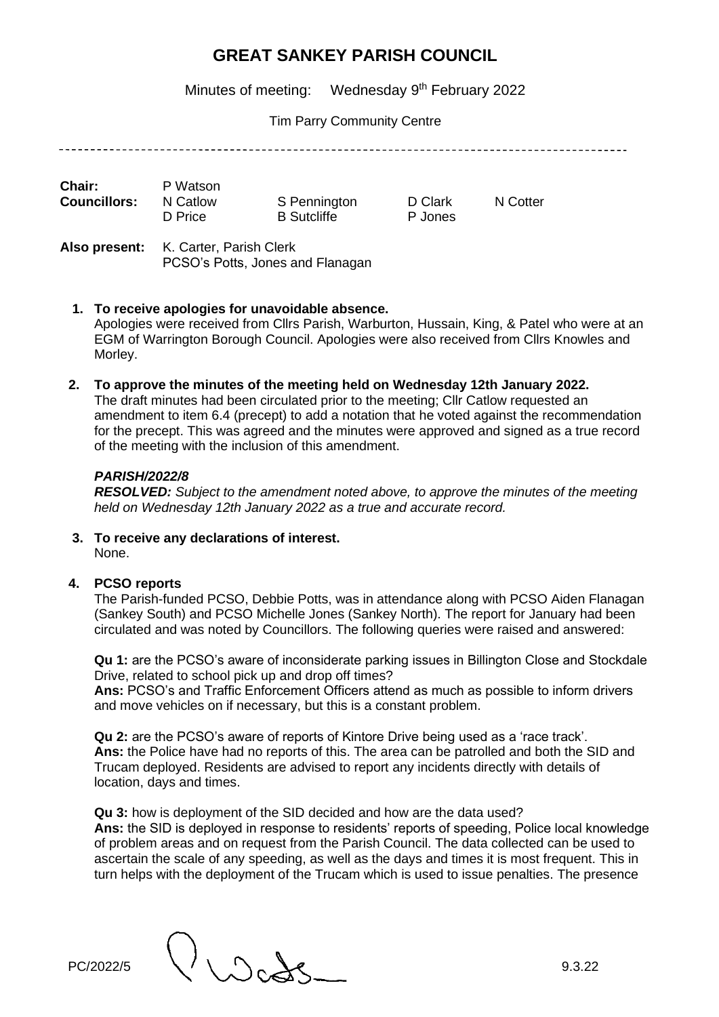Minutes of meeting: Wednesday 9<sup>th</sup> February 2022

Tim Parry Community Centre

| Chair:              | P Watson |                    |  |
|---------------------|----------|--------------------|--|
| <b>Councillors:</b> | N Catlow | S Pennington       |  |
|                     | D Price  | <b>B</b> Sutcliffe |  |

D Clark N Cotter P Jones

**Also present:** K. Carter, Parish Clerk PCSO's Potts, Jones and Flanagan

**1. To receive apologies for unavoidable absence.** 

Apologies were received from Cllrs Parish, Warburton, Hussain, King, & Patel who were at an EGM of Warrington Borough Council. Apologies were also received from Cllrs Knowles and Morley.

**2. To approve the minutes of the meeting held on Wednesday 12th January 2022.** 

The draft minutes had been circulated prior to the meeting; Cllr Catlow requested an amendment to item 6.4 (precept) to add a notation that he voted against the recommendation for the precept. This was agreed and the minutes were approved and signed as a true record of the meeting with the inclusion of this amendment.

## *PARISH/2022/8*

*RESOLVED: Subject to the amendment noted above, to approve the minutes of the meeting held on Wednesday 12th January 2022 as a true and accurate record.*

**3. To receive any declarations of interest.**  None.

### **4. PCSO reports**

The Parish-funded PCSO, Debbie Potts, was in attendance along with PCSO Aiden Flanagan (Sankey South) and PCSO Michelle Jones (Sankey North). The report for January had been circulated and was noted by Councillors. The following queries were raised and answered:

**Qu 1:** are the PCSO's aware of inconsiderate parking issues in Billington Close and Stockdale Drive, related to school pick up and drop off times?

**Ans:** PCSO's and Traffic Enforcement Officers attend as much as possible to inform drivers and move vehicles on if necessary, but this is a constant problem.

**Qu 2:** are the PCSO's aware of reports of Kintore Drive being used as a 'race track'. **Ans:** the Police have had no reports of this. The area can be patrolled and both the SID and Trucam deployed. Residents are advised to report any incidents directly with details of location, days and times.

**Qu 3:** how is deployment of the SID decided and how are the data used? **Ans:** the SID is deployed in response to residents' reports of speeding, Police local knowledge of problem areas and on request from the Parish Council. The data collected can be used to ascertain the scale of any speeding, as well as the days and times it is most frequent. This in turn helps with the deployment of the Trucam which is used to issue penalties. The presence

PC/2022/5  $\bigcup_{D \in \mathcal{A}} D_{D}$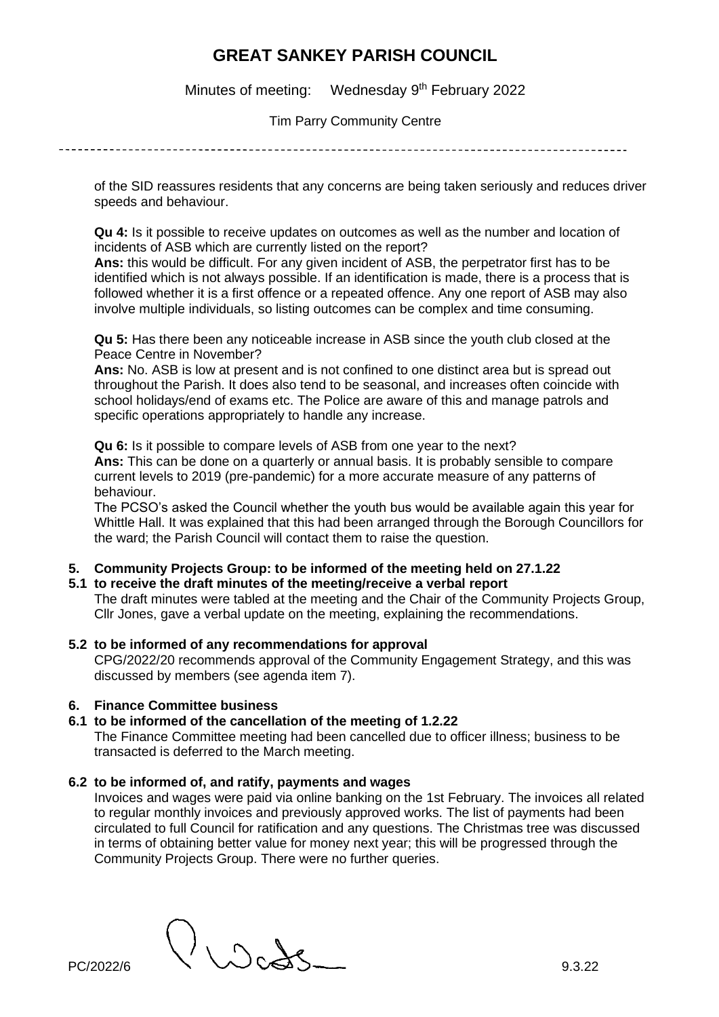Minutes of meeting: Wednesday 9<sup>th</sup> February 2022

Tim Parry Community Centre

of the SID reassures residents that any concerns are being taken seriously and reduces driver speeds and behaviour.

**Qu 4:** Is it possible to receive updates on outcomes as well as the number and location of incidents of ASB which are currently listed on the report?

**Ans:** this would be difficult. For any given incident of ASB, the perpetrator first has to be identified which is not always possible. If an identification is made, there is a process that is followed whether it is a first offence or a repeated offence. Any one report of ASB may also involve multiple individuals, so listing outcomes can be complex and time consuming.

**Qu 5:** Has there been any noticeable increase in ASB since the youth club closed at the Peace Centre in November?

**Ans:** No. ASB is low at present and is not confined to one distinct area but is spread out throughout the Parish. It does also tend to be seasonal, and increases often coincide with school holidays/end of exams etc. The Police are aware of this and manage patrols and specific operations appropriately to handle any increase.

**Qu 6:** Is it possible to compare levels of ASB from one year to the next? **Ans:** This can be done on a quarterly or annual basis. It is probably sensible to compare current levels to 2019 (pre-pandemic) for a more accurate measure of any patterns of behaviour.

The PCSO's asked the Council whether the youth bus would be available again this year for Whittle Hall. It was explained that this had been arranged through the Borough Councillors for the ward; the Parish Council will contact them to raise the question.

### **5. Community Projects Group: to be informed of the meeting held on 27.1.22**

**5.1 to receive the draft minutes of the meeting/receive a verbal report** 

The draft minutes were tabled at the meeting and the Chair of the Community Projects Group, Cllr Jones, gave a verbal update on the meeting, explaining the recommendations.

**5.2 to be informed of any recommendations for approval** 

CPG/2022/20 recommends approval of the Community Engagement Strategy, and this was discussed by members (see agenda item 7).

### **6. Finance Committee business**

#### **6.1 to be informed of the cancellation of the meeting of 1.2.22**

The Finance Committee meeting had been cancelled due to officer illness; business to be transacted is deferred to the March meeting.

#### **6.2 to be informed of, and ratify, payments and wages**

Invoices and wages were paid via online banking on the 1st February. The invoices all related to regular monthly invoices and previously approved works. The list of payments had been circulated to full Council for ratification and any questions. The Christmas tree was discussed in terms of obtaining better value for money next year; this will be progressed through the Community Projects Group. There were no further queries.

 $P<sub>C/2022/6</sub>$   $9.3.22$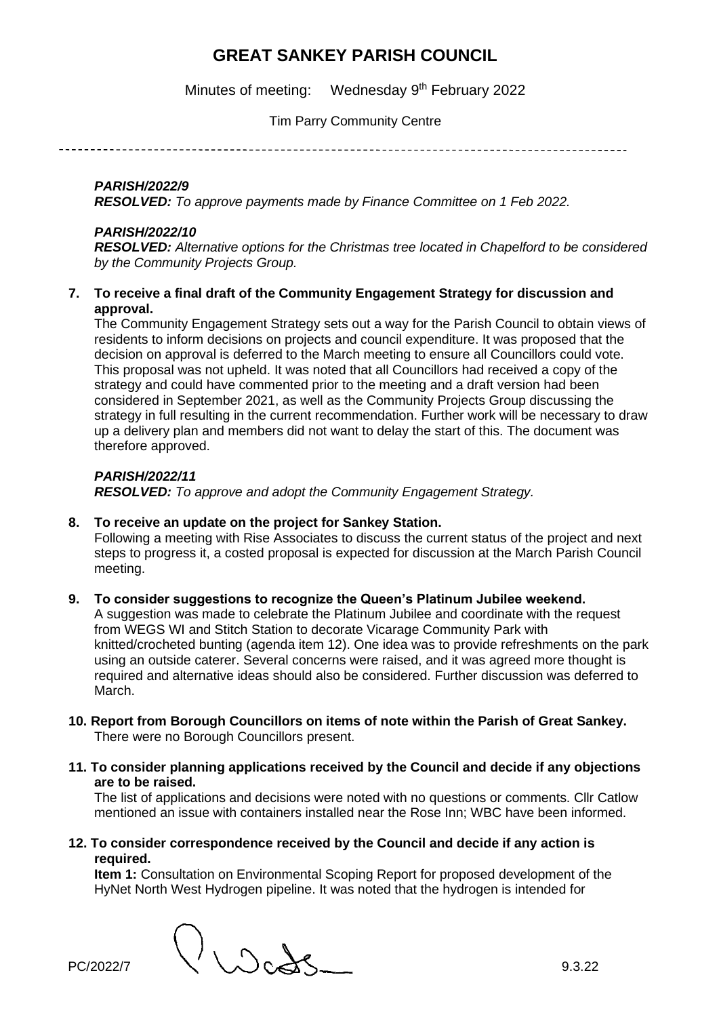Minutes of meeting: Wednesday 9<sup>th</sup> February 2022

Tim Parry Community Centre

## *PARISH/2022/9*

*RESOLVED: To approve payments made by Finance Committee on 1 Feb 2022.* 

### *PARISH/2022/10*

*RESOLVED: Alternative options for the Christmas tree located in Chapelford to be considered by the Community Projects Group.* 

**7. To receive a final draft of the Community Engagement Strategy for discussion and approval.** 

The Community Engagement Strategy sets out a way for the Parish Council to obtain views of residents to inform decisions on projects and council expenditure. It was proposed that the decision on approval is deferred to the March meeting to ensure all Councillors could vote. This proposal was not upheld. It was noted that all Councillors had received a copy of the strategy and could have commented prior to the meeting and a draft version had been considered in September 2021, as well as the Community Projects Group discussing the strategy in full resulting in the current recommendation. Further work will be necessary to draw up a delivery plan and members did not want to delay the start of this. The document was therefore approved.

#### *PARISH/2022/11 RESOLVED: To approve and adopt the Community Engagement Strategy.*

### **8. To receive an update on the project for Sankey Station.**

Following a meeting with Rise Associates to discuss the current status of the project and next steps to progress it, a costed proposal is expected for discussion at the March Parish Council meeting.

### **9. To consider suggestions to recognize the Queen's Platinum Jubilee weekend.**

A suggestion was made to celebrate the Platinum Jubilee and coordinate with the request from WEGS WI and Stitch Station to decorate Vicarage Community Park with knitted/crocheted bunting (agenda item 12). One idea was to provide refreshments on the park using an outside caterer. Several concerns were raised, and it was agreed more thought is required and alternative ideas should also be considered. Further discussion was deferred to March.

- **10. Report from Borough Councillors on items of note within the Parish of Great Sankey.**  There were no Borough Councillors present.
- **11. To consider planning applications received by the Council and decide if any objections are to be raised.**

The list of applications and decisions were noted with no questions or comments. Cllr Catlow mentioned an issue with containers installed near the Rose Inn; WBC have been informed.

**12. To consider correspondence received by the Council and decide if any action is required.** 

**Item 1:** Consultation on Environmental Scoping Report for proposed development of the HyNet North West Hydrogen pipeline. It was noted that the hydrogen is intended for

PC/2022/7  $\bigcup \bigcup \bigcirc \bigcirc \bigcirc$  9.3.22